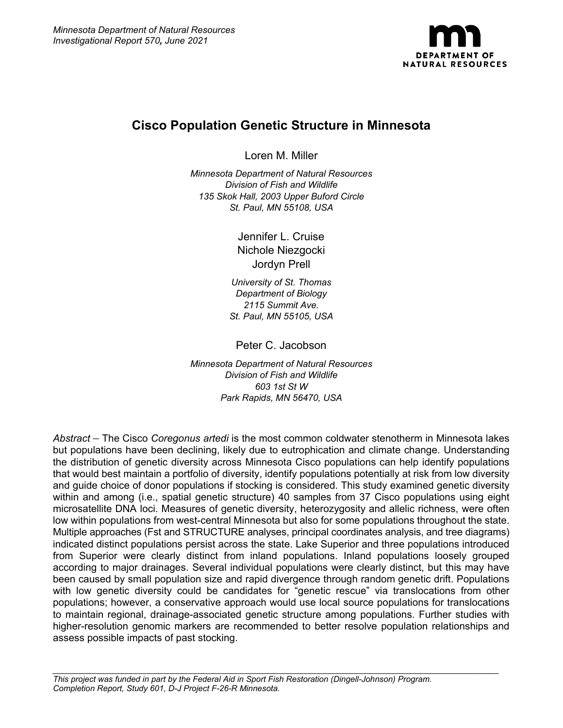

# **Cisco Population Genetic Structure in Minnesota**

Loren M. Miller

*Minnesota Department of Natural Resources Division of Fish and Wildlife 135 Skok Hall, 2003 Upper Buford Circle St. Paul, MN 55108, USA*

> Jennifer L. Cruise Nichole Niezgocki Jordyn Prell

*University of St. Thomas Department of Biology 2115 Summit Ave. St. Paul, MN 55105, USA*

Peter C. Jacobson

*Minnesota Department of Natural Resources Division of Fish and Wildlife 603 1st St W Park Rapids, MN 56470, USA*

*Abstract –* The Cisco *Coregonus artedi* is the most common coldwater stenotherm in Minnesota lakes but populations have been declining, likely due to eutrophication and climate change. Understanding the distribution of genetic diversity across Minnesota Cisco populations can help identify populations that would best maintain a portfolio of diversity, identify populations potentially at risk from low diversity and guide choice of donor populations if stocking is considered. This study examined genetic diversity within and among (i.e., spatial genetic structure) 40 samples from 37 Cisco populations using eight microsatellite DNA loci. Measures of genetic diversity, heterozygosity and allelic richness, were often low within populations from west-central Minnesota but also for some populations throughout the state. Multiple approaches (Fst and STRUCTURE analyses, principal coordinates analysis, and tree diagrams) indicated distinct populations persist across the state. Lake Superior and three populations introduced from Superior were clearly distinct from inland populations. Inland populations loosely grouped according to major drainages. Several individual populations were clearly distinct, but this may have been caused by small population size and rapid divergence through random genetic drift. Populations with low genetic diversity could be candidates for "genetic rescue" via translocations from other populations; however, a conservative approach would use local source populations for translocations to maintain regional, drainage-associated genetic structure among populations. Further studies with higher-resolution genomic markers are recommended to better resolve population relationships and assess possible impacts of past stocking.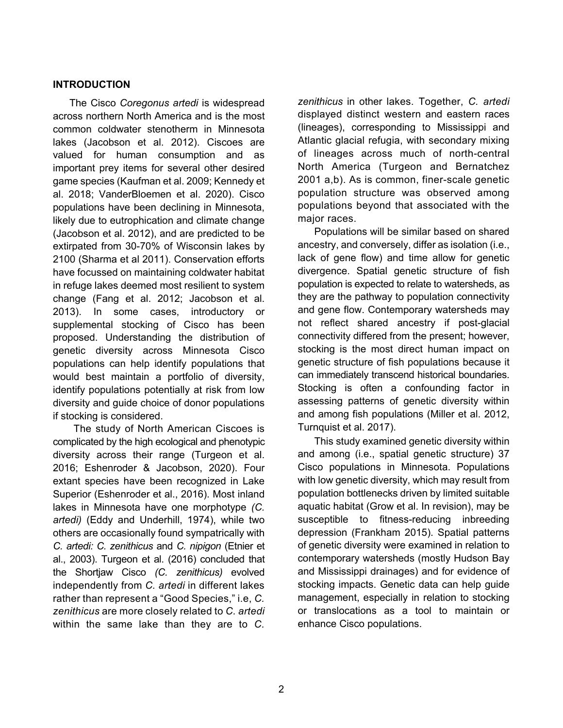### **INTRODUCTION**

The Cisco *Coregonus artedi* is widespread across northern North America and is the most common coldwater stenotherm in Minnesota lakes (Jacobson et al. 2012). Ciscoes are valued for human consumption and as important prey items for several other desired game species (Kaufman et al. 2009; Kennedy et al. 2018; VanderBloemen et al. 2020). Cisco populations have been declining in Minnesota, likely due to eutrophication and climate change (Jacobson et al. 2012), and are predicted to be extirpated from 30-70% of Wisconsin lakes by 2100 (Sharma et al 2011). Conservation efforts have focussed on maintaining coldwater habitat in refuge lakes deemed most resilient to system change (Fang et al. 2012; Jacobson et al. 2013). In some cases, introductory or supplemental stocking of Cisco has been proposed. Understanding the distribution of genetic diversity across Minnesota Cisco populations can help identify populations that would best maintain a portfolio of diversity, identify populations potentially at risk from low diversity and guide choice of donor populations if stocking is considered.

The study of North American Ciscoes is complicated by the high ecological and phenotypic diversity across their range (Turgeon et al. 2016; Eshenroder & Jacobson, 2020). Four extant species have been recognized in Lake Superior (Eshenroder et al., 2016). Most inland lakes in Minnesota have one morphotype *(C. artedi)* (Eddy and Underhill, 1974), while two others are occasionally found sympatrically with *C. artedi: C. zenithicus* and *C. nipigon* (Etnier et al., 2003). Turgeon et al. (2016) concluded that the Shortjaw Cisco *(C. zenithicus)* evolved independently from *C. artedi* in different lakes rather than represent a "Good Species," i.e, *C. zenithicus* are more closely related to *C. artedi* within the same lake than they are to *C.*

*zenithicus* in other lakes. Together, *C. artedi* displayed distinct western and eastern races (lineages), corresponding to Mississippi and Atlantic glacial refugia, with secondary mixing of lineages across much of north-central North America (Turgeon and Bernatchez 2001 a,b). As is common, finer-scale genetic population structure was observed among populations beyond that associated with the major races.

Populations will be similar based on shared ancestry, and conversely, differ as isolation (i.e., lack of gene flow) and time allow for genetic divergence. Spatial genetic structure of fish population is expected to relate to watersheds, as they are the pathway to population connectivity and gene flow. Contemporary watersheds may not reflect shared ancestry if post-glacial connectivity differed from the present; however, stocking is the most direct human impact on genetic structure of fish populations because it can immediately transcend historical boundaries. Stocking is often a confounding factor in assessing patterns of genetic diversity within and among fish populations (Miller et al. 2012, Turnquist et al. 2017).

This study examined genetic diversity within and among (i.e., spatial genetic structure) 37 Cisco populations in Minnesota. Populations with low genetic diversity, which may result from population bottlenecks driven by limited suitable aquatic habitat (Grow et al. In revision), may be susceptible to fitness-reducing inbreeding depression (Frankham 2015). Spatial patterns of genetic diversity were examined in relation to contemporary watersheds (mostly Hudson Bay and Mississippi drainages) and for evidence of stocking impacts. Genetic data can help guide management, especially in relation to stocking or translocations as a tool to maintain or enhance Cisco populations.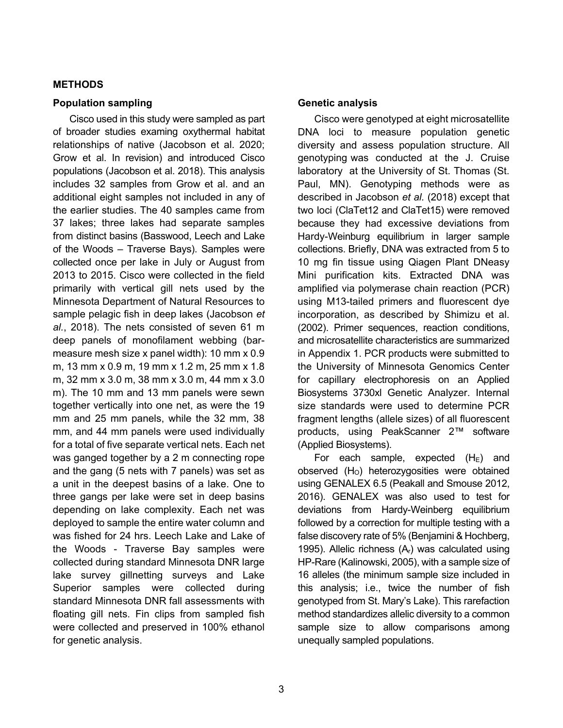### **METHODS**

### **Population sampling**

Cisco used in this study were sampled as part of broader studies examing oxythermal habitat relationships of native (Jacobson et al. 2020; Grow et al. In revision) and introduced Cisco populations (Jacobson et al. 2018). This analysis includes 32 samples from Grow et al. and an additional eight samples not included in any of the earlier studies. The 40 samples came from 37 lakes; three lakes had separate samples from distinct basins (Basswood, Leech and Lake of the Woods – Traverse Bays). Samples were collected once per lake in July or August from 2013 to 2015. Cisco were collected in the field primarily with vertical gill nets used by the Minnesota Department of Natural Resources to sample pelagic fish in deep lakes (Jacobson *et al.*, 2018). The nets consisted of seven 61 m deep panels of monofilament webbing (barmeasure mesh size x panel width): 10 mm x 0.9 m, 13 mm x 0.9 m, 19 mm x 1.2 m, 25 mm x 1.8 m, 32 mm x 3.0 m, 38 mm x 3.0 m, 44 mm x 3.0 m). The 10 mm and 13 mm panels were sewn together vertically into one net, as were the 19 mm and 25 mm panels, while the 32 mm, 38 mm, and 44 mm panels were used individually for a total of five separate vertical nets. Each net was ganged together by a 2 m connecting rope and the gang (5 nets with 7 panels) was set as a unit in the deepest basins of a lake. One to three gangs per lake were set in deep basins depending on lake complexity. Each net was deployed to sample the entire water column and was fished for 24 hrs. Leech Lake and Lake of the Woods - Traverse Bay samples were collected during standard Minnesota DNR large lake survey gillnetting surveys and Lake Superior samples were collected during standard Minnesota DNR fall assessments with floating gill nets. Fin clips from sampled fish were collected and preserved in 100% ethanol for genetic analysis.

### **Genetic analysis**

Cisco were genotyped at eight microsatellite DNA loci to measure population genetic diversity and assess population structure. All genotyping was conducted at the J. Cruise laboratory at the University of St. Thomas (St. Paul, MN). Genotyping methods were as described in Jacobson *et al.* (2018) except that two loci (ClaTet12 and ClaTet15) were removed because they had excessive deviations from Hardy-Weinburg equilibrium in larger sample collections. Briefly, DNA was extracted from 5 to 10 mg fin tissue using Qiagen Plant DNeasy Mini purification kits. Extracted DNA was amplified via polymerase chain reaction (PCR) using M13-tailed primers and fluorescent dye incorporation, as described by Shimizu et al. (2002). Primer sequences, reaction conditions, and microsatellite characteristics are summarized in Appendix 1. PCR products were submitted to the University of Minnesota Genomics Center for capillary electrophoresis on an Applied Biosystems 3730xl Genetic Analyzer. Internal size standards were used to determine PCR fragment lengths (allele sizes) of all fluorescent products, using PeakScanner 2™ software (Applied Biosystems).

For each sample, expected  $(H<sub>E</sub>)$  and observed  $(H<sub>o</sub>)$  heterozygosities were obtained using GENALEX 6.5 (Peakall and Smouse 2012, 2016). GENALEX was also used to test for deviations from Hardy-Weinberg equilibrium followed by a correction for multiple testing with a false discovery rate of 5% (Benjamini & Hochberg, 1995). Allelic richness  $(A<sub>r</sub>)$  was calculated using HP-Rare (Kalinowski, 2005), with a sample size of 16 alleles (the minimum sample size included in this analysis; i.e., twice the number of fish genotyped from St. Mary's Lake). This rarefaction method standardizes allelic diversity to a common sample size to allow comparisons among unequally sampled populations.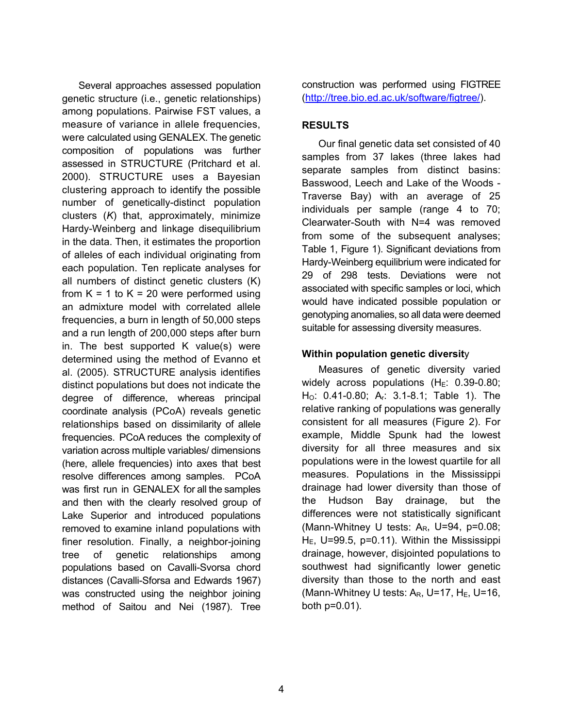Several approaches assessed population genetic structure (i.e., genetic relationships) among populations. Pairwise FST values, a measure of variance in allele frequencies, were calculated using GENALEX. The genetic composition of populations was further assessed in STRUCTURE (Pritchard et al. 2000). STRUCTURE uses a Bayesian clustering approach to identify the possible number of genetically-distinct population clusters (*K*) that, approximately, minimize Hardy-Weinberg and linkage disequilibrium in the data. Then, it estimates the proportion of alleles of each individual originating from each population. Ten replicate analyses for all numbers of distinct genetic clusters (K) from  $K = 1$  to  $K = 20$  were performed using an admixture model with correlated allele frequencies, a burn in length of 50,000 steps and a run length of 200,000 steps after burn in. The best supported K value(s) were determined using the method of Evanno et al. (2005). STRUCTURE analysis identifies distinct populations but does not indicate the degree of difference, whereas principal coordinate analysis (PCoA) reveals genetic relationships based on dissimilarity of allele frequencies. PCoA reduces the complexity of variation across multiple variables/ dimensions (here, allele frequencies) into axes that best resolve differences among samples. PCoA was first run in GENALEX for all the samples and then with the clearly resolved group of Lake Superior and introduced populations removed to examine inland populations with finer resolution. Finally, a neighbor-joining tree of genetic relationships among populations based on Cavalli-Svorsa chord distances (Cavalli-Sforsa and Edwards 1967) was constructed using the neighbor joining method of Saitou and Nei (1987). Tree

construction was performed using FIGTREE [\(http://tree.bio.ed.ac.uk/software/figtree/\)](http://tree.bio.ed.ac.uk/software/figtree/).

# **RESULTS**

Our final genetic data set consisted of 40 samples from 37 lakes (three lakes had separate samples from distinct basins: Basswood, Leech and Lake of the Woods - Traverse Bay) with an average of 25 individuals per sample (range 4 to 70; Clearwater-South with N=4 was removed from some of the subsequent analyses; Table 1, Figure 1). Significant deviations from Hardy-Weinberg equilibrium were indicated for 29 of 298 tests. Deviations were not associated with specific samples or loci, which would have indicated possible population or genotyping anomalies, so all data were deemed suitable for assessing diversity measures.

# **Within population genetic diversit**y

Measures of genetic diversity varied widely across populations  $(H_E: 0.39-0.80;$ H<sub>O</sub>: 0.41-0.80; A<sub>r</sub>: 3.1-8.1; Table 1). The relative ranking of populations was generally consistent for all measures (Figure 2). For example, Middle Spunk had the lowest diversity for all three measures and six populations were in the lowest quartile for all measures. Populations in the Mississippi drainage had lower diversity than those of the Hudson Bay drainage, but the differences were not statistically significant (Mann-Whitney U tests: A<sub>R</sub>, U=94, p=0.08;  $H<sub>E</sub>$ , U=99.5, p=0.11). Within the Mississippi drainage, however, disjointed populations to southwest had significantly lower genetic diversity than those to the north and east (Mann-Whitney U tests:  $A_R$ , U=17, H<sub>E</sub>, U=16, both p=0.01).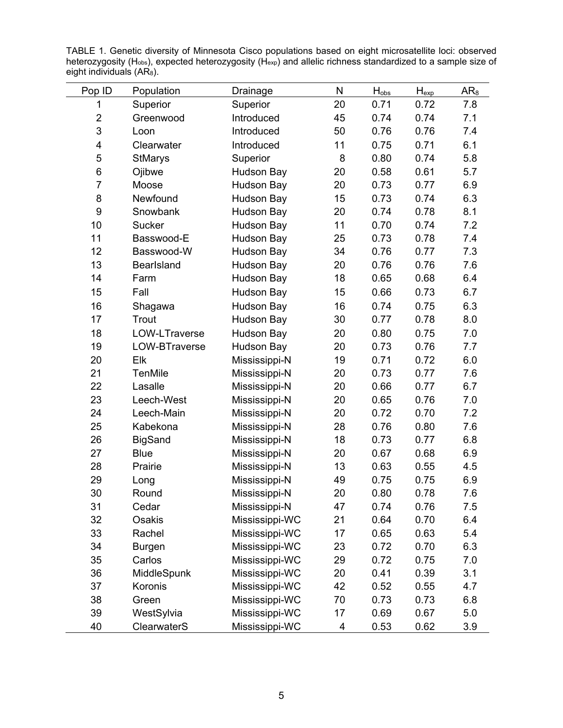| Pop ID           | Population        | Drainage          | N  | $H_{obs}$ | $H_{\text{exp}}$ | $AR_8$ |
|------------------|-------------------|-------------------|----|-----------|------------------|--------|
| 1                | Superior          | Superior          | 20 | 0.71      | 0.72             | 7.8    |
| $\overline{2}$   | Greenwood         | Introduced        | 45 | 0.74      | 0.74             | 7.1    |
| 3                | Loon              | Introduced        | 50 | 0.76      | 0.76             | 7.4    |
| 4                | Clearwater        | Introduced        | 11 | 0.75      | 0.71             | 6.1    |
| 5                | <b>StMarys</b>    | Superior          | 8  | 0.80      | 0.74             | 5.8    |
| 6                | Ojibwe            | <b>Hudson Bay</b> | 20 | 0.58      | 0.61             | 5.7    |
| $\overline{7}$   | Moose             | <b>Hudson Bay</b> | 20 | 0.73      | 0.77             | 6.9    |
| 8                | Newfound          | Hudson Bay        | 15 | 0.73      | 0.74             | 6.3    |
| $\boldsymbol{9}$ | Snowbank          | <b>Hudson Bay</b> | 20 | 0.74      | 0.78             | 8.1    |
| 10               | <b>Sucker</b>     | <b>Hudson Bay</b> | 11 | 0.70      | 0.74             | 7.2    |
| 11               | Basswood-E        | Hudson Bay        | 25 | 0.73      | 0.78             | 7.4    |
| 12               | Basswood-W        | <b>Hudson Bay</b> | 34 | 0.76      | 0.77             | 7.3    |
| 13               | <b>Bearlsland</b> | <b>Hudson Bay</b> | 20 | 0.76      | 0.76             | 7.6    |
| 14               | Farm              | <b>Hudson Bay</b> | 18 | 0.65      | 0.68             | 6.4    |
| 15               | Fall              | <b>Hudson Bay</b> | 15 | 0.66      | 0.73             | 6.7    |
| 16               | Shagawa           | <b>Hudson Bay</b> | 16 | 0.74      | 0.75             | 6.3    |
| 17               | Trout             | <b>Hudson Bay</b> | 30 | 0.77      | 0.78             | 8.0    |
| 18               | LOW-LTraverse     | <b>Hudson Bay</b> | 20 | 0.80      | 0.75             | 7.0    |
| 19               | LOW-BTraverse     | <b>Hudson Bay</b> | 20 | 0.73      | 0.76             | 7.7    |
| 20               | Elk               | Mississippi-N     | 19 | 0.71      | 0.72             | 6.0    |
| 21               | <b>TenMile</b>    | Mississippi-N     | 20 | 0.73      | 0.77             | 7.6    |
| 22               | Lasalle           | Mississippi-N     | 20 | 0.66      | 0.77             | 6.7    |
| 23               | Leech-West        | Mississippi-N     | 20 | 0.65      | 0.76             | 7.0    |
| 24               | Leech-Main        | Mississippi-N     | 20 | 0.72      | 0.70             | 7.2    |
| 25               | Kabekona          | Mississippi-N     | 28 | 0.76      | 0.80             | 7.6    |
| 26               | <b>BigSand</b>    | Mississippi-N     | 18 | 0.73      | 0.77             | 6.8    |
| 27               | <b>Blue</b>       | Mississippi-N     | 20 | 0.67      | 0.68             | 6.9    |
| 28               | Prairie           | Mississippi-N     | 13 | 0.63      | 0.55             | 4.5    |
| 29               | Long              | Mississippi-N     | 49 | 0.75      | 0.75             | 6.9    |
| 30               | Round             | Mississippi-N     | 20 | 0.80      | 0.78             | 7.6    |
| 31               | Cedar             | Mississippi-N     | 47 | 0.74      | 0.76             | 7.5    |
| 32               | Osakis            | Mississippi-WC    | 21 | 0.64      | 0.70             | 6.4    |
| 33               | Rachel            | Mississippi-WC    | 17 | 0.65      | 0.63             | 5.4    |
| 34               | <b>Burgen</b>     | Mississippi-WC    | 23 | 0.72      | 0.70             | 6.3    |
| 35               | Carlos            | Mississippi-WC    | 29 | 0.72      | 0.75             | 7.0    |
| 36               | MiddleSpunk       | Mississippi-WC    | 20 | 0.41      | 0.39             | 3.1    |
| 37               | Koronis           | Mississippi-WC    | 42 | 0.52      | 0.55             | 4.7    |
| 38               | Green             | Mississippi-WC    | 70 | 0.73      | 0.73             | 6.8    |
| 39               | WestSylvia        | Mississippi-WC    | 17 | 0.69      | 0.67             | 5.0    |
| 40               | ClearwaterS       | Mississippi-WC    | 4  | 0.53      | 0.62             | 3.9    |

TABLE 1. Genetic diversity of Minnesota Cisco populations based on eight microsatellite loci: observed heterozygosity (H $_{\rm obs}$ ), expected heterozygosity (H $_{\rm exp}$ ) and allelic richness standardized to a sample size of eight individuals (AR $_{8})_{\cdot}$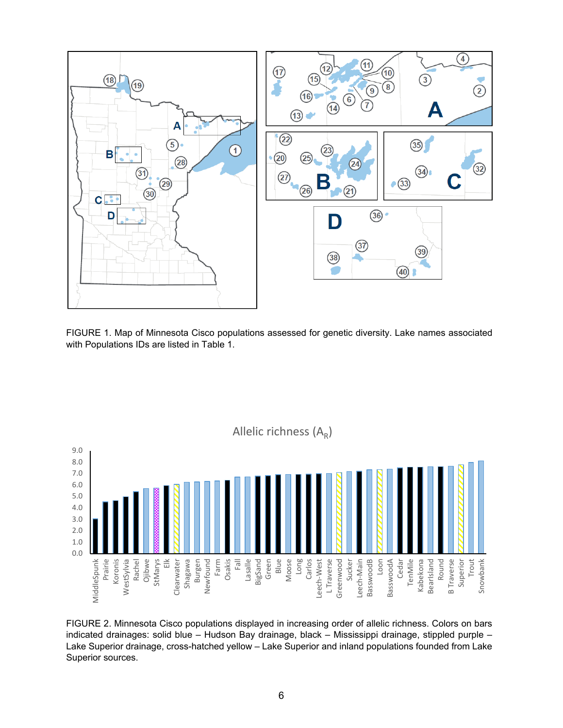

FIGURE 1. Map of Minnesota Cisco populations assessed for genetic diversity. Lake names associated with Populations IDs are listed in Table 1.



FIGURE 2. Minnesota Cisco populations displayed in increasing order of allelic richness. Colors on bars indicated drainages: solid blue – Hudson Bay drainage, black – Mississippi drainage, stippled purple – Lake Superior drainage, cross-hatched yellow – Lake Superior and inland populations founded from Lake Superior sources.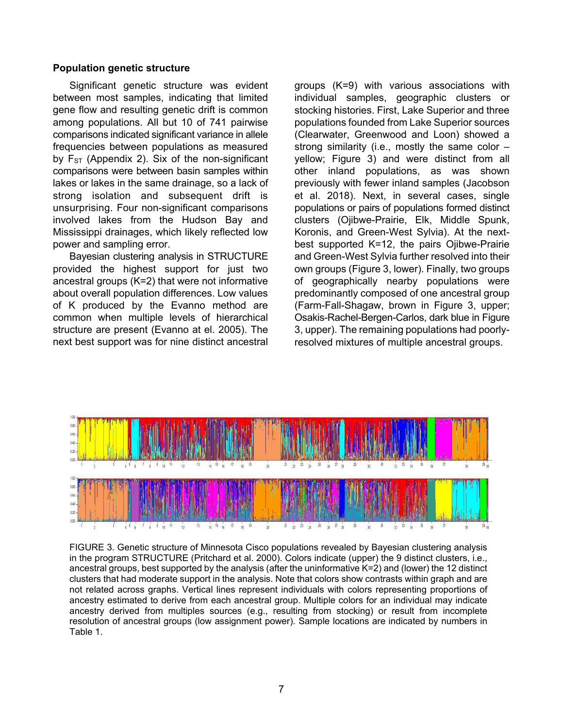### **Population genetic structure**

Significant genetic structure was evident between most samples, indicating that limited gene flow and resulting genetic drift is common among populations. All but 10 of 741 pairwise comparisons indicated significant variance in allele frequencies between populations as measured by  $F_{ST}$  (Appendix 2). Six of the non-significant comparisons were between basin samples within lakes or lakes in the same drainage, so a lack of strong isolation and subsequent drift is unsurprising. Four non-significant comparisons involved lakes from the Hudson Bay and Mississippi drainages, which likely reflected low power and sampling error.

Bayesian clustering analysis in STRUCTURE provided the highest support for just two ancestral groups (K=2) that were not informative about overall population differences. Low values of K produced by the Evanno method are common when multiple levels of hierarchical structure are present (Evanno at el. 2005). The next best support was for nine distinct ancestral groups (K=9) with various associations with individual samples, geographic clusters or stocking histories. First, Lake Superior and three populations founded from Lake Superior sources (Clearwater, Greenwood and Loon) showed a strong similarity (i.e., mostly the same color  $$ yellow; Figure 3) and were distinct from all other inland populations, as was shown previously with fewer inland samples (Jacobson et al. 2018). Next, in several cases, single populations or pairs of populations formed distinct clusters (Ojibwe-Prairie, Elk, Middle Spunk, Koronis, and Green-West Sylvia). At the nextbest supported K=12, the pairs Ojibwe-Prairie and Green-West Sylvia further resolved into their own groups (Figure 3, lower). Finally, two groups of geographically nearby populations were predominantly composed of one ancestral group (Farm-Fall-Shagaw, brown in Figure 3, upper; Osakis-Rachel-Bergen-Carlos, dark blue in Figure 3, upper). The remaining populations had poorlyresolved mixtures of multiple ancestral groups.



FIGURE 3. Genetic structure of Minnesota Cisco populations revealed by Bayesian clustering analysis in the program STRUCTURE (Pritchard et al. 2000). Colors indicate (upper) the 9 distinct clusters, i.e., ancestral groups, best supported by the analysis (after the uninformative K=2) and (lower) the 12 distinct clusters that had moderate support in the analysis. Note that colors show contrasts within graph and are not related across graphs. Vertical lines represent individuals with colors representing proportions of ancestry estimated to derive from each ancestral group. Multiple colors for an individual may indicate ancestry derived from multiples sources (e.g., resulting from stocking) or result from incomplete resolution of ancestral groups (low assignment power). Sample locations are indicated by numbers in Table 1.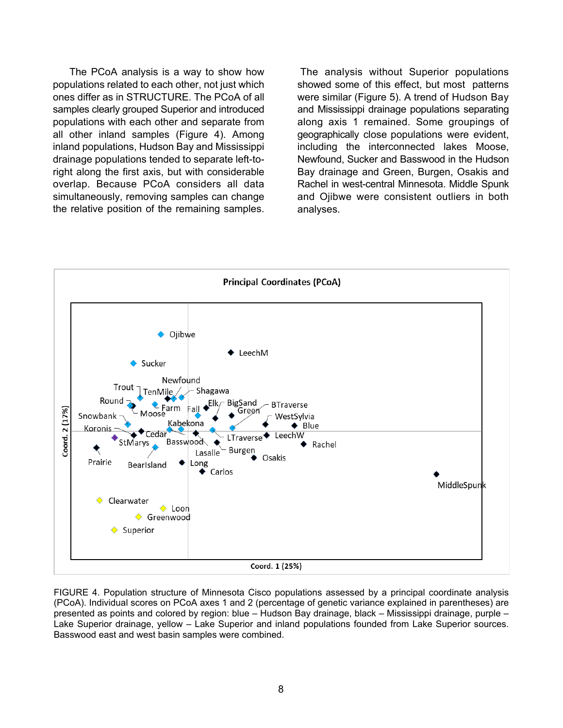The PCoA analysis is a way to show how populations related to each other, not just which ones differ as in STRUCTURE. The PCoA of all samples clearly grouped Superior and introduced populations with each other and separate from all other inland samples (Figure 4). Among inland populations, Hudson Bay and Mississippi drainage populations tended to separate left-toright along the first axis, but with considerable overlap. Because PCoA considers all data simultaneously, removing samples can change the relative position of the remaining samples.

The analysis without Superior populations showed some of this effect, but most patterns were similar (Figure 5). A trend of Hudson Bay and Mississippi drainage populations separating along axis 1 remained. Some groupings of geographically close populations were evident, including the interconnected lakes Moose, Newfound, Sucker and Basswood in the Hudson Bay drainage and Green, Burgen, Osakis and Rachel in west-central Minnesota. Middle Spunk and Ojibwe were consistent outliers in both analyses.



FIGURE 4. Population structure of Minnesota Cisco populations assessed by a principal coordinate analysis (PCoA). Individual scores on PCoA axes 1 and 2 (percentage of genetic variance explained in parentheses) are presented as points and colored by region: blue – Hudson Bay drainage, black – Mississippi drainage, purple – Lake Superior drainage, yellow – Lake Superior and inland populations founded from Lake Superior sources. Basswood east and west basin samples were combined.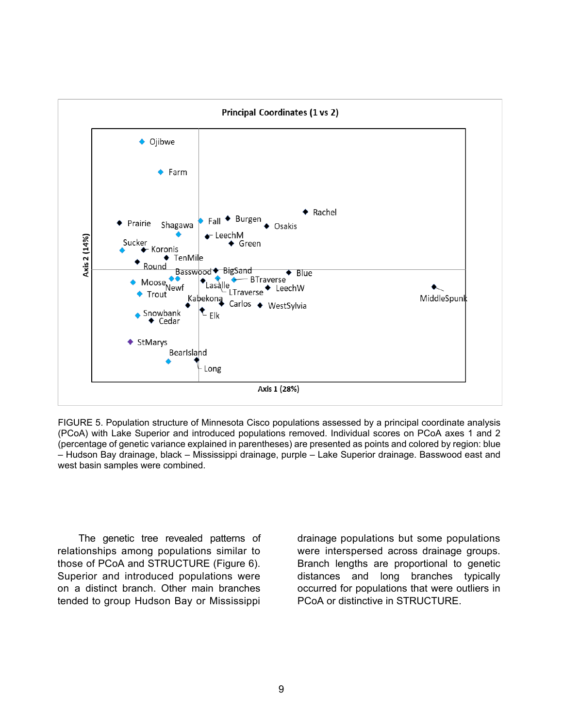

FIGURE 5. Population structure of Minnesota Cisco populations assessed by a principal coordinate analysis (PCoA) with Lake Superior and introduced populations removed. Individual scores on PCoA axes 1 and 2 (percentage of genetic variance explained in parentheses) are presented as points and colored by region: blue – Hudson Bay drainage, black – Mississippi drainage, purple – Lake Superior drainage. Basswood east and west basin samples were combined.

The genetic tree revealed patterns of relationships among populations similar to those of PCoA and STRUCTURE (Figure 6). Superior and introduced populations were on a distinct branch. Other main branches tended to group Hudson Bay or Mississippi

drainage populations but some populations were interspersed across drainage groups. Branch lengths are proportional to genetic distances and long branches typically occurred for populations that were outliers in PCoA or distinctive in STRUCTURE.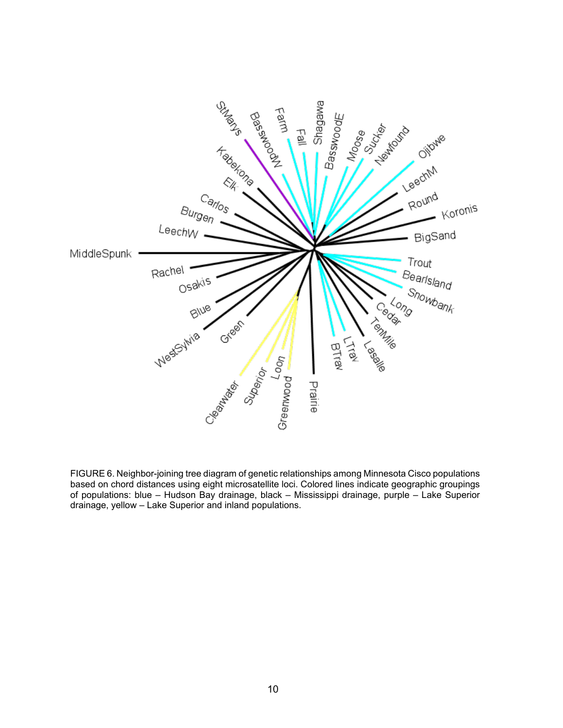

FIGURE 6. Neighbor-joining tree diagram of genetic relationships among Minnesota Cisco populations based on chord distances using eight microsatellite loci. Colored lines indicate geographic groupings of populations: blue – Hudson Bay drainage, black – Mississippi drainage, purple – Lake Superior drainage, yellow – Lake Superior and inland populations.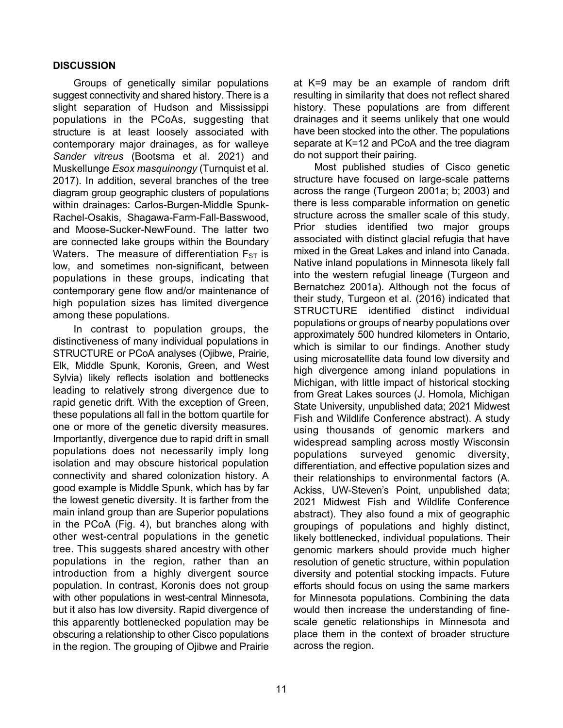# **DISCUSSION**

Groups of genetically similar populations suggest connectivity and shared history. There is a slight separation of Hudson and Mississippi populations in the PCoAs, suggesting that structure is at least loosely associated with contemporary major drainages, as for walleye *Sander vitreus* (Bootsma et al. 2021) and Muskellunge *Esox masquinongy* (Turnquist et al. 2017). In addition, several branches of the tree diagram group geographic clusters of populations within drainages: Carlos-Burgen-Middle Spunk-Rachel-Osakis, Shagawa-Farm-Fall-Basswood, and Moose-Sucker-NewFound. The latter two are connected lake groups within the Boundary Waters. The measure of differentiation  $F_{ST}$  is low, and sometimes non-significant, between populations in these groups, indicating that contemporary gene flow and/or maintenance of high population sizes has limited divergence among these populations.

In contrast to population groups, the distinctiveness of many individual populations in STRUCTURE or PCoA analyses (Ojibwe, Prairie, Elk, Middle Spunk, Koronis, Green, and West Sylvia) likely reflects isolation and bottlenecks leading to relatively strong divergence due to rapid genetic drift. With the exception of Green, these populations all fall in the bottom quartile for one or more of the genetic diversity measures. Importantly, divergence due to rapid drift in small populations does not necessarily imply long isolation and may obscure historical population connectivity and shared colonization history. A good example is Middle Spunk, which has by far the lowest genetic diversity. It is farther from the main inland group than are Superior populations in the PCoA (Fig. 4), but branches along with other west-central populations in the genetic tree. This suggests shared ancestry with other populations in the region, rather than an introduction from a highly divergent source population. In contrast, Koronis does not group with other populations in west-central Minnesota, but it also has low diversity. Rapid divergence of this apparently bottlenecked population may be obscuring a relationship to other Cisco populations in the region. The grouping of Ojibwe and Prairie

at K=9 may be an example of random drift resulting in similarity that does not reflect shared history. These populations are from different drainages and it seems unlikely that one would have been stocked into the other. The populations separate at K=12 and PCoA and the tree diagram do not support their pairing.

Most published studies of Cisco genetic structure have focused on large-scale patterns across the range (Turgeon 2001a; b; 2003) and there is less comparable information on genetic structure across the smaller scale of this study. Prior studies identified two major groups associated with distinct glacial refugia that have mixed in the Great Lakes and inland into Canada. Native inland populations in Minnesota likely fall into the western refugial lineage (Turgeon and Bernatchez 2001a). Although not the focus of their study, Turgeon et al. (2016) indicated that STRUCTURE identified distinct individual populations or groups of nearby populations over approximately 500 hundred kilometers in Ontario, which is similar to our findings. Another study using microsatellite data found low diversity and high divergence among inland populations in Michigan, with little impact of historical stocking from Great Lakes sources (J. Homola, Michigan State University, unpublished data; 2021 Midwest Fish and Wildlife Conference abstract). A study using thousands of genomic markers and widespread sampling across mostly Wisconsin populations surveyed genomic diversity, differentiation, and effective population sizes and their relationships to environmental factors (A. Ackiss, UW-Steven's Point, unpublished data; 2021 Midwest Fish and Wildlife Conference abstract). They also found a mix of geographic groupings of populations and highly distinct, likely bottlenecked, individual populations. Their genomic markers should provide much higher resolution of genetic structure, within population diversity and potential stocking impacts. Future efforts should focus on using the same markers for Minnesota populations. Combining the data would then increase the understanding of finescale genetic relationships in Minnesota and place them in the context of broader structure across the region.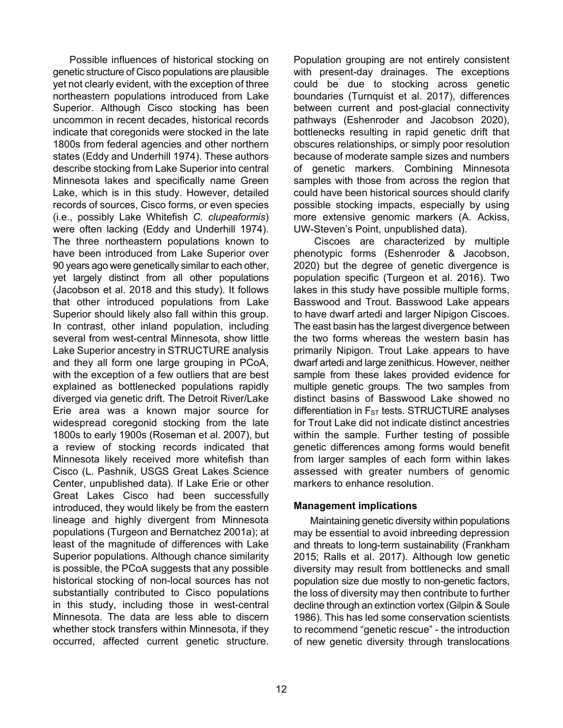Possible influences of historical stocking on genetic structure of Cisco populations are plausible yet not clearly evident, with the exception of three northeastern populations introduced from Lake Superior. Although Cisco stocking has been uncommon in recent decades, historical records indicate that coregonids were stocked in the late 1800s from federal agencies and other northern states (Eddy and Underhill 1974). These authors describe stocking from Lake Superior into central Minnesota lakes and specifically name Green Lake, which is in this study. However, detailed records of sources, Cisco forms, or even species (i.e., possibly Lake Whitefish *C. clupeaformis*) were often lacking (Eddy and Underhill 1974). The three northeastern populations known to have been introduced from Lake Superior over 90 years ago were genetically similar to each other, yet largely distinct from all other populations (Jacobson et al. 2018 and this study). It follows that other introduced populations from Lake Superior should likely also fall within this group. In contrast, other inland population, including several from west-central Minnesota, show little Lake Superior ancestry in STRUCTURE analysis and they all form one large grouping in PCoA, with the exception of a few outliers that are best explained as bottlenecked populations rapidly diverged via genetic drift. The Detroit River/Lake Erie area was a known major source for widespread coregonid stocking from the late 1800s to early 1900s (Roseman et al. 2007), but a review of stocking records indicated that Minnesota likely received more whitefish than Cisco (L. Pashnik, USGS Great Lakes Science Center, unpublished data). If Lake Erie or other Great Lakes Cisco had been successfully introduced, they would likely be from the eastern lineage and highly divergent from Minnesota populations (Turgeon and Bernatchez 2001a); at least of the magnitude of differences with Lake Superior populations. Although chance similarity is possible, the PCoA suggests that any possible historical stocking of non-local sources has not substantially contributed to Cisco populations in this study, including those in west-central Minnesota. The data are less able to discern whether stock transfers within Minnesota, if they occurred, affected current genetic structure.

Maintaining genetic diversity within populations may be essential to avoid inbreeding depression

**Management implications**

and threats to long-term sustainability (Frankham 2015; Ralls et al. 2017). Although low genetic diversity may result from bottlenecks and small population size due mostly to non-genetic factors, the loss of diversity may then contribute to further decline through an extinction vortex (Gilpin & Soule 1986). This has led some conservation scientists to recommend "genetic rescue" - the introduction

of new genetic diversity through translocations

lakes in this study have possible multiple forms, Basswood and Trout. Basswood Lake appears to have dwarf artedi and larger Nipigon Ciscoes. The east basin has the largest divergence between the two forms whereas the western basin has primarily Nipigon. Trout Lake appears to have dwarf artedi and large zenithicus. However, neither sample from these lakes provided evidence for multiple genetic groups. The two samples from distinct basins of Basswood Lake showed no differentiation in  $F_{ST}$  tests. STRUCTURE analyses for Trout Lake did not indicate distinct ancestries within the sample. Further testing of possible genetic differences among forms would benefit from larger samples of each form within lakes assessed with greater numbers of genomic markers to enhance resolution.

Population grouping are not entirely consistent with present-day drainages. The exceptions could be due to stocking across genetic boundaries (Turnquist et al. 2017), differences between current and post-glacial connectivity pathways (Eshenroder and Jacobson 2020), bottlenecks resulting in rapid genetic drift that obscures relationships, or simply poor resolution because of moderate sample sizes and numbers of genetic markers. Combining Minnesota samples with those from across the region that could have been historical sources should clarify possible stocking impacts, especially by using more extensive genomic markers (A. Ackiss,

UW-Steven's Point, unpublished data).

Ciscoes are characterized by multiple phenotypic forms (Eshenroder & Jacobson, 2020) but the degree of genetic divergence is population specific (Turgeon et al. 2016). Two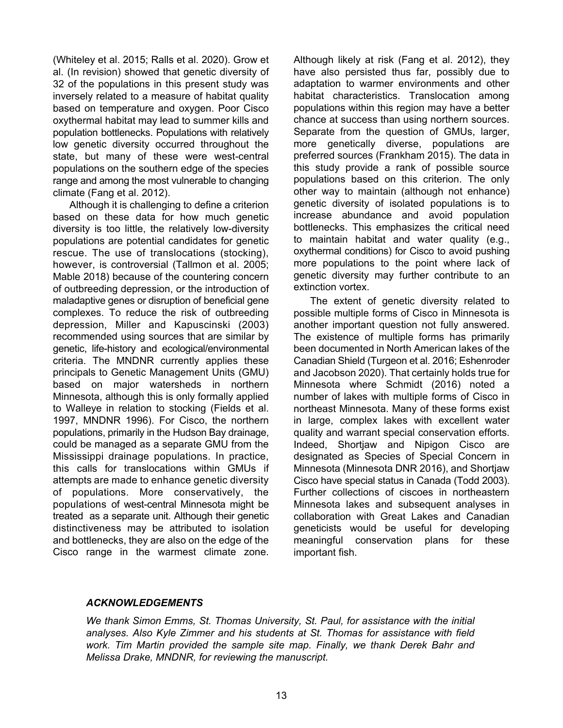(Whiteley et al. 2015; Ralls et al. 2020). Grow et al. (In revision) showed that genetic diversity of 32 of the populations in this present study was inversely related to a measure of habitat quality based on temperature and oxygen. Poor Cisco oxythermal habitat may lead to summer kills and population bottlenecks. Populations with relatively low genetic diversity occurred throughout the state, but many of these were west-central populations on the southern edge of the species range and among the most vulnerable to changing climate (Fang et al. 2012).

Although it is challenging to define a criterion based on these data for how much genetic diversity is too little, the relatively low-diversity populations are potential candidates for genetic rescue. The use of translocations (stocking), however, is controversial (Tallmon et al. 2005; Mable 2018) because of the countering concern of outbreeding depression, or the introduction of maladaptive genes or disruption of beneficial gene complexes. To reduce the risk of outbreeding depression, Miller and Kapuscinski (2003) recommended using sources that are similar by genetic, life-history and ecological/environmental criteria. The MNDNR currently applies these principals to Genetic Management Units (GMU) based on major watersheds in northern Minnesota, although this is only formally applied to Walleye in relation to stocking (Fields et al. 1997, MNDNR 1996). For Cisco, the northern populations, primarily in the Hudson Bay drainage, could be managed as a separate GMU from the Mississippi drainage populations. In practice, this calls for translocations within GMUs if attempts are made to enhance genetic diversity of populations. More conservatively, the populations of west-central Minnesota might be treated as a separate unit. Although their genetic distinctiveness may be attributed to isolation and bottlenecks, they are also on the edge of the Cisco range in the warmest climate zone.

Although likely at risk (Fang et al. 2012), they have also persisted thus far, possibly due to adaptation to warmer environments and other habitat characteristics. Translocation among populations within this region may have a better chance at success than using northern sources. Separate from the question of GMUs, larger, more genetically diverse, populations are preferred sources (Frankham 2015). The data in this study provide a rank of possible source populations based on this criterion. The only other way to maintain (although not enhance) genetic diversity of isolated populations is to increase abundance and avoid population bottlenecks. This emphasizes the critical need to maintain habitat and water quality (e.g., oxythermal conditions) for Cisco to avoid pushing more populations to the point where lack of genetic diversity may further contribute to an extinction vortex.

The extent of genetic diversity related to possible multiple forms of Cisco in Minnesota is another important question not fully answered. The existence of multiple forms has primarily been documented in North American lakes of the Canadian Shield (Turgeon et al. 2016; Eshenroder and Jacobson 2020). That certainly holds true for Minnesota where Schmidt (2016) noted a number of lakes with multiple forms of Cisco in northeast Minnesota. Many of these forms exist in large, complex lakes with excellent water quality and warrant special conservation efforts. Indeed, Shortjaw and Nipigon Cisco are designated as Species of Special Concern in Minnesota (Minnesota DNR 2016), and Shortjaw Cisco have special status in Canada (Todd 2003). Further collections of ciscoes in northeastern Minnesota lakes and subsequent analyses in collaboration with Great Lakes and Canadian geneticists would be useful for developing meaningful conservation plans for these important fish.

# *ACKNOWLEDGEMENTS*

*We thank Simon Emms, St. Thomas University, St. Paul, for assistance with the initial analyses. Also Kyle Zimmer and his students at St. Thomas for assistance with field work. Tim Martin provided the sample site map. Finally, we thank Derek Bahr and Melissa Drake, MNDNR, for reviewing the manuscript.*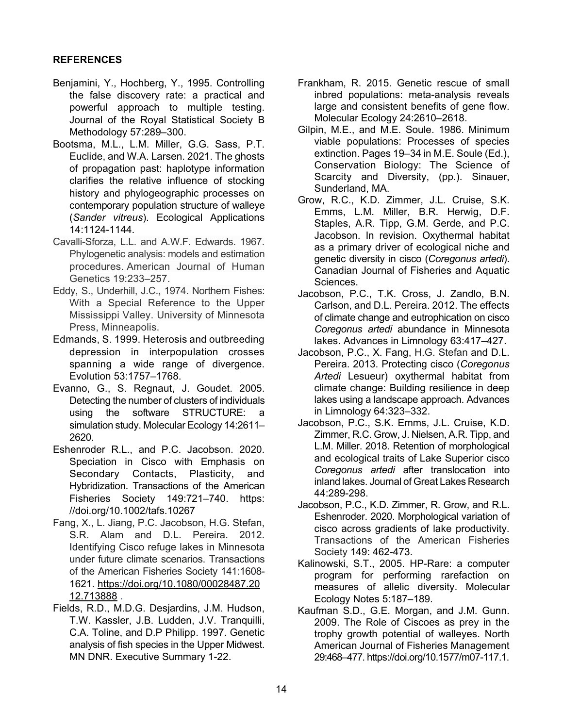# **REFERENCES**

- Benjamini, Y., Hochberg, Y., 1995. Controlling the false discovery rate: a practical and powerful approach to multiple testing. Journal of the Royal Statistical Society B Methodology 57:289–300.
- Bootsma, M.L., L.M. Miller, G.G. Sass, P.T. Euclide, and W.A. Larsen. 2021. The ghosts of propagation past: haplotype information clarifies the relative influence of stocking history and phylogeographic processes on contemporary population structure of walleye (*Sander vitreus*). Ecological Applications 14:1124-1144.
- Cavalli-Sforza, L.L. and A.W.F. Edwards. 1967. Phylogenetic analysis: models and estimation procedures. American Journal of Human Genetics 19:233–257.
- Eddy, S., Underhill, J.C., 1974. Northern Fishes: With a Special Reference to the Upper Mississippi Valley. University of Minnesota Press, Minneapolis.
- Edmands, S. 1999. Heterosis and outbreeding depression in interpopulation crosses spanning a wide range of divergence. Evolution 53:1757–1768.
- Evanno, G., S. Regnaut, J. Goudet. 2005. Detecting the number of clusters of individuals using the software STRUCTURE: a simulation study. Molecular Ecology 14:2611– 2620.
- Eshenroder R.L., and P.C. Jacobson. 2020. Speciation in Cisco with Emphasis on Secondary Contacts, Plasticity, and Hybridization. Transactions of the American Fisheries Society 149:721–740. https: //doi.org/10.1002/tafs.10267
- Fang, X., L. Jiang, P.C. Jacobson, H.G. Stefan, S.R. Alam and D.L. Pereira. 2012. Identifying Cisco refuge lakes in Minnesota under future climate scenarios. Transactions of the American Fisheries Society 141:1608- 1621. [https://doi.org/10.1080/00028487.20](https://doi.org/10.1080/00028487.2012.713888) [12.713888](https://doi.org/10.1080/00028487.2012.713888) .
- Fields, R.D., M.D.G. Desjardins, J.M. Hudson, T.W. Kassler, J.B. Ludden, J.V. Tranquilli, C.A. Toline, and D.P Philipp. 1997. Genetic analysis of fish species in the Upper Midwest. MN DNR. Executive Summary 1-22.
- Frankham, R. 2015. Genetic rescue of small inbred populations: meta-analysis reveals large and consistent benefits of gene flow. Molecular Ecology 24:2610–2618.
- Gilpin, M.E., and M.E. Soule. 1986. Minimum viable populations: Processes of species extinction. Pages 19–34 in M.E. Soule (Ed.), Conservation Biology: The Science of Scarcity and Diversity, (pp.). Sinauer, Sunderland, MA.
- Grow, R.C., K.D. Zimmer, J.L. Cruise, S.K. Emms, L.M. Miller, B.R. Herwig, D.F. Staples, A.R. Tipp, G.M. Gerde, and P.C. Jacobson. In revision. Oxythermal habitat as a primary driver of ecological niche and genetic diversity in cisco (*Coregonus artedi*). Canadian Journal of Fisheries and Aquatic Sciences.
- Jacobson, P.C., T.K. Cross, J. Zandlo, B.N. Carlson, and D.L. Pereira. 2012. The effects of climate change and eutrophication on cisco *Coregonus artedi* abundance in Minnesota lakes. Advances in Limnology 63:417–427.
- Jacobson, P.C., X. Fang, H.G. Stefan and D.L. Pereira. 2013. Protecting cisco (*Coregonus Artedi* Lesueur) oxythermal habitat from climate change: Building resilience in deep lakes using a landscape approach. Advances in Limnology 64:323–332.
- Jacobson, P.C., S.K. Emms, J.L. Cruise, K.D. Zimmer, R.C. Grow, J. Nielsen, A.R. Tipp, and L.M. Miller. 2018. Retention of morphological and ecological traits of Lake Superior cisco *Coregonus artedi* after translocation into inland lakes. Journal of Great Lakes Research 44:289-298.
- Jacobson, P.C., K.D. Zimmer, R. Grow, and R.L. Eshenroder. 2020. Morphological variation of cisco across gradients of lake productivity. Transactions of the American Fisheries Society 149: 462-473.
- Kalinowski, S.T., 2005. HP-Rare: a computer program for performing rarefaction on measures of allelic diversity. Molecular Ecology Notes 5:187–189.
- Kaufman S.D., G.E. Morgan, and J.M. Gunn. 2009. The Role of Ciscoes as prey in the trophy growth potential of walleyes. North American Journal of Fisheries Management 29:468–477. https://doi.org/10.1577/m07-117.1.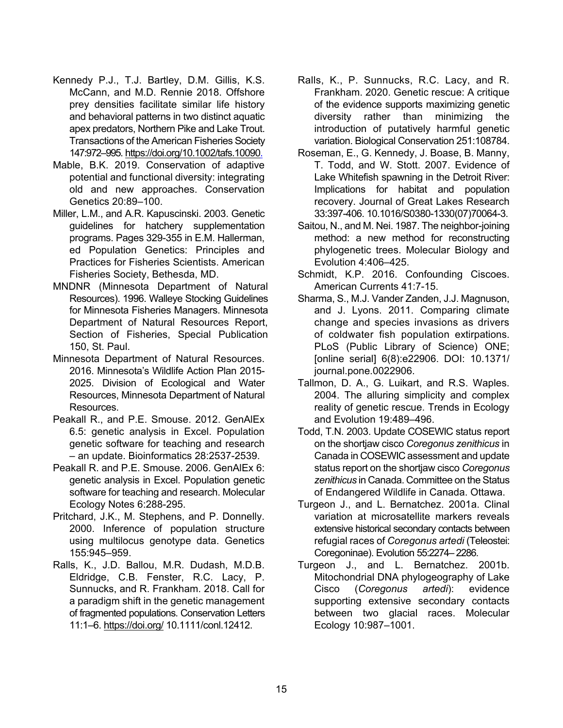- Kennedy P.J., T.J. Bartley, D.M. Gillis, K.S. McCann, and M.D. Rennie 2018. Offshore prey densities facilitate similar life history and behavioral patterns in two distinct aquatic apex predators, Northern Pike and Lake Trout. Transactions of the American Fisheries Society 147:972–995[. https://doi.org/10.1002/tafs.10090.](https://doi.org/10.1002/tafs.10090)
- Mable, B.K. 2019. Conservation of adaptive potential and functional diversity: integrating old and new approaches. Conservation Genetics 20:89–100.
- Miller, L.M., and A.R. Kapuscinski. 2003. Genetic guidelines for hatchery supplementation programs. Pages 329-355 in E.M. Hallerman, ed Population Genetics: Principles and Practices for Fisheries Scientists. American Fisheries Society, Bethesda, MD.
- MNDNR (Minnesota Department of Natural Resources). 1996. Walleye Stocking Guidelines for Minnesota Fisheries Managers. Minnesota Department of Natural Resources Report, Section of Fisheries, Special Publication 150, St. Paul.
- Minnesota Department of Natural Resources. 2016. Minnesota's Wildlife Action Plan 2015- 2025. Division of Ecological and Water Resources, Minnesota Department of Natural Resources.
- Peakall R., and P.E. Smouse. 2012. GenAlEx 6.5: genetic analysis in Excel. Population genetic software for teaching and research – an update. Bioinformatics 28:2537-2539.
- Peakall R. and P.E. Smouse. 2006. GenAlEx 6: genetic analysis in Excel. Population genetic software for teaching and research. Molecular Ecology Notes 6:288-295.
- Pritchard, J.K., M. Stephens, and P. Donnelly. 2000. Inference of population structure using multilocus genotype data. Genetics 155:945–959.
- Ralls, K., J.D. Ballou, M.R. Dudash, M.D.B. Eldridge, C.B. Fenster, R.C. Lacy, P. Sunnucks, and R. Frankham. 2018. Call for a paradigm shift in the genetic management of fragmented populations. Conservation Letters 11:1–6.<https://doi.org/> 10.1111/conl.12412.
- Ralls, K., P. Sunnucks, R.C. Lacy, and R. Frankham. 2020. Genetic rescue: A critique of the evidence supports maximizing genetic diversity rather than minimizing the introduction of putatively harmful genetic variation. Biological Conservation 251:108784.
- Roseman, E., G. Kennedy, J. Boase, B. Manny, T. Todd, and W. Stott. 2007. Evidence of Lake Whitefish spawning in the Detroit River: Implications for habitat and population recovery. Journal of Great Lakes Research 33:397-406. 10.1016/S0380-1330(07)70064-3.
- Saitou, N., and M. Nei. 1987. The neighbor-joining method: a new method for reconstructing phylogenetic trees. Molecular Biology and Evolution 4:406–425.
- Schmidt, K.P. 2016. Confounding Ciscoes. American Currents 41:7-15.
- Sharma, S., M.J. Vander Zanden, J.J. Magnuson, and J. Lyons. 2011. Comparing climate change and species invasions as drivers of coldwater fish population extirpations. PLoS (Public Library of Science) ONE; [online serial] 6(8):e22906. DOI: 10.1371/ journal.pone.0022906.
- Tallmon, D. A., G. Luikart, and R.S. Waples. 2004. The alluring simplicity and complex reality of genetic rescue. Trends in Ecology and Evolution 19:489–496.
- Todd, T.N. 2003. Update COSEWIC status report on the shortjaw cisco *Coregonus zenithicus* in Canada in COSEWIC assessment and update status report on the shortjaw cisco *Coregonus zenithicus* in Canada. Committee on the Status of Endangered Wildlife in Canada. Ottawa.
- Turgeon J., and L. Bernatchez. 2001a. Clinal variation at microsatellite markers reveals extensive historical secondary contacts between refugial races of *Coregonus artedi* (Teleostei: Coregoninae). Evolution 55:2274– 2286.
- Turgeon J., and L. Bernatchez. 2001b. Mitochondrial DNA phylogeography of Lake Cisco (*Coregonus artedi*): evidence supporting extensive secondary contacts between two glacial races. Molecular Ecology 10:987–1001.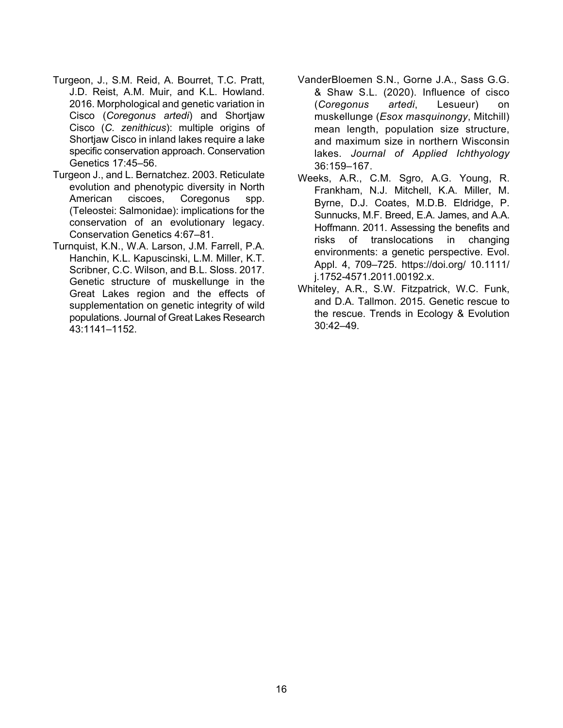- Turgeon, J., S.M. Reid, A. Bourret, T.C. Pratt, J.D. Reist, A.M. Muir, and K.L. Howland. 2016. Morphological and genetic variation in Cisco (*Coregonus artedi*) and Shortjaw Cisco (*C. zenithicus*): multiple origins of Shortjaw Cisco in inland lakes require a lake specific conservation approach. Conservation Genetics 17:45–56.
- Turgeon J., and L. Bernatchez. 2003. Reticulate evolution and phenotypic diversity in North American ciscoes, Coregonus spp. (Teleostei: Salmonidae): implications for the conservation of an evolutionary legacy. Conservation Genetics 4:67–81.
- Turnquist, K.N., W.A. Larson, J.M. Farrell, P.A. Hanchin, K.L. Kapuscinski, L.M. Miller, K.T. Scribner, C.C. Wilson, and B.L. Sloss. 2017. Genetic structure of muskellunge in the Great Lakes region and the effects of supplementation on genetic integrity of wild populations. Journal of Great Lakes Research 43:1141–1152.
- VanderBloemen S.N., Gorne J.A., Sass G.G. & Shaw S.L. (2020). Influence of cisco (*Coregonus artedi*, Lesueur) on muskellunge (*Esox masquinongy*, Mitchill) mean length, population size structure, and maximum size in northern Wisconsin lakes. *Journal of Applied Ichthyology* 36:159–167.
- Weeks, A.R., C.M. Sgro, A.G. Young, R. Frankham, N.J. Mitchell, K.A. Miller, M. Byrne, D.J. Coates, M.D.B. Eldridge, P. Sunnucks, M.F. Breed, E.A. James, and A.A. Hoffmann. 2011. Assessing the benefits and risks of translocations in changing environments: a genetic perspective. Evol. Appl. 4, 709–725. https://doi.org/ 10.1111/ j.1752-4571.2011.00192.x.
- Whiteley, A.R., S.W. Fitzpatrick, W.C. Funk, and D.A. Tallmon. 2015. Genetic rescue to the rescue. Trends in Ecology & Evolution 30:42–49.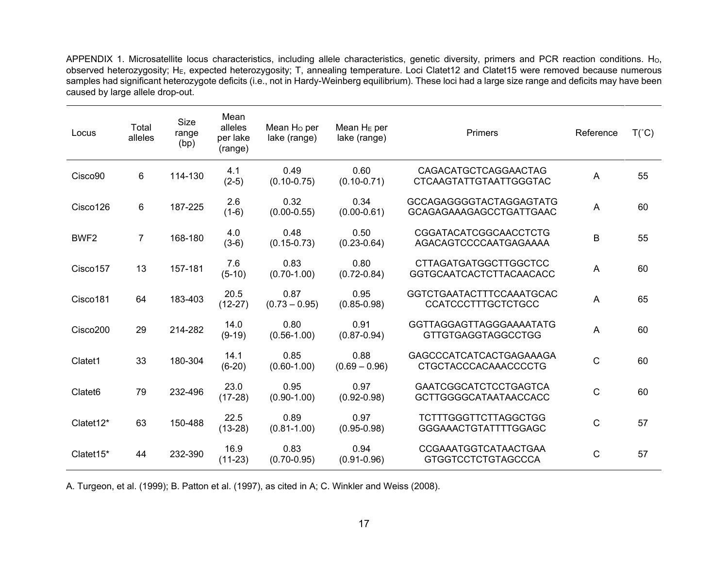APPENDIX 1. Microsatellite locus characteristics, including allele characteristics, genetic diversity, primers and PCR reaction conditions. Ho, observed heterozygosity; HE, expected heterozygosity; T, annealing temperature. Loci Clatet12 and Clatet15 were removed because numerous samples had significant heterozygote deficits (i.e., not in Hardy-Weinberg equilibrium). These loci had a large size range and deficits may have been caused by large allele drop-out.

| Locus               | Total<br>alleles | <b>Size</b><br>range<br>(bp) | Mean<br>alleles<br>per lake<br>(range) | Mean Ho per<br>lake (range) | Mean $H_E$ per<br>lake (range) | Primers                                                      | Reference   | $T(^{\circ}C)$ |
|---------------------|------------------|------------------------------|----------------------------------------|-----------------------------|--------------------------------|--------------------------------------------------------------|-------------|----------------|
| Cisco90             | 6                | 114-130                      | 4.1<br>$(2-5)$                         | 0.49<br>$(0.10 - 0.75)$     | 0.60<br>$(0.10 - 0.71)$        | CAGACATGCTCAGGAACTAG<br><b>CTCAAGTATTGTAATTGGGTAC</b>        | A           | 55             |
| Cisco126            | 6                | 187-225                      | 2.6<br>$(1-6)$                         | 0.32<br>$(0.00 - 0.55)$     | 0.34<br>$(0.00 - 0.61)$        | <b>GCCAGAGGGGTACTAGGAGTATG</b><br>GCAGAGAAAGAGCCTGATTGAAC    | A           | 60             |
| BWF <sub>2</sub>    | $\overline{7}$   | 168-180                      | 4.0<br>$(3-6)$                         | 0.48<br>$(0.15 - 0.73)$     | 0.50<br>$(0.23 - 0.64)$        | CGGATACATCGGCAACCTCTG<br>AGACAGTCCCCAATGAGAAAA               | $\mathsf B$ | 55             |
| Cisco157            | 13               | 157-181                      | 7.6<br>$(5-10)$                        | 0.83<br>$(0.70 - 1.00)$     | 0.80<br>$(0.72 - 0.84)$        | <b>CTTAGATGATGGCTTGGCTCC</b><br>GGTGCAATCACTCTTACAACACC      | A           | 60             |
| Cisco181            | 64               | 183-403                      | 20.5<br>$(12-27)$                      | 0.87<br>$(0.73 - 0.95)$     | 0.95<br>$(0.85 - 0.98)$        | <b>GGTCTGAATACTTTCCAAATGCAC</b><br><b>CCATCCCTTTGCTCTGCC</b> | Α           | 65             |
| Cisco200            | 29               | 214-282                      | 14.0<br>$(9-19)$                       | 0.80<br>$(0.56 - 1.00)$     | 0.91<br>$(0.87 - 0.94)$        | GGTTAGGAGTTAGGGAAAATATG<br><b>GTTGTGAGGTAGGCCTGG</b>         | Α           | 60             |
| Clatet1             | 33               | 180-304                      | 14.1<br>$(6-20)$                       | 0.85<br>$(0.60 - 1.00)$     | 0.88<br>$(0.69 - 0.96)$        | GAGCCCATCATCACTGAGAAAGA<br><b>CTGCTACCCACAAACCCCTG</b>       | C           | 60             |
| Clatet <sub>6</sub> | 79               | 232-496                      | 23.0<br>$(17-28)$                      | 0.95<br>$(0.90 - 1.00)$     | 0.97<br>$(0.92 - 0.98)$        | <b>GAATCGGCATCTCCTGAGTCA</b><br><b>GCTTGGGGCATAATAACCACC</b> | C           | 60             |
| Clatet12*           | 63               | 150-488                      | 22.5<br>$(13-28)$                      | 0.89<br>$(0.81 - 1.00)$     | 0.97<br>$(0.95 - 0.98)$        | <b>TCTTTGGGTTCTTAGGCTGG</b><br><b>GGGAAACTGTATTTTGGAGC</b>   | C           | 57             |
| Clatet15*           | 44               | 232-390                      | 16.9<br>$(11-23)$                      | 0.83<br>$(0.70 - 0.95)$     | 0.94<br>$(0.91 - 0.96)$        | <b>CCGAAATGGTCATAACTGAA</b><br><b>GTGGTCCTCTGTAGCCCA</b>     | C           | 57             |

A. Turgeon, et al. (1999); B. Patton et al. (1997), as cited in A; C. Winkler and Weiss (2008).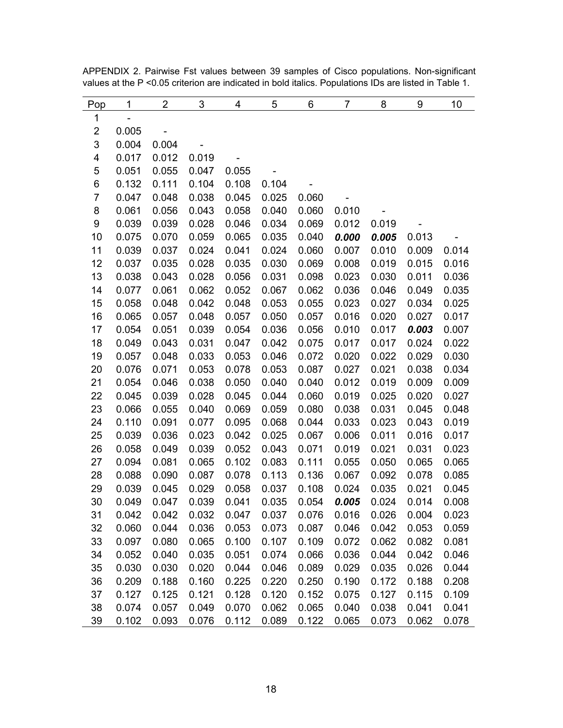| Pop              | 1                        | $\overline{2}$ | 3     | 4     | 5     | 6     | 7     | 8     | 9     | 10    |
|------------------|--------------------------|----------------|-------|-------|-------|-------|-------|-------|-------|-------|
| 1                | $\overline{\phantom{0}}$ |                |       |       |       |       |       |       |       |       |
| $\overline{c}$   | 0.005                    |                |       |       |       |       |       |       |       |       |
| 3                | 0.004                    | 0.004          |       |       |       |       |       |       |       |       |
| 4                | 0.017                    | 0.012          | 0.019 |       |       |       |       |       |       |       |
| 5                | 0.051                    | 0.055          | 0.047 | 0.055 |       |       |       |       |       |       |
| 6                | 0.132                    | 0.111          | 0.104 | 0.108 | 0.104 |       |       |       |       |       |
| $\overline{7}$   | 0.047                    | 0.048          | 0.038 | 0.045 | 0.025 | 0.060 |       |       |       |       |
| 8                | 0.061                    | 0.056          | 0.043 | 0.058 | 0.040 | 0.060 | 0.010 |       |       |       |
| $\boldsymbol{9}$ | 0.039                    | 0.039          | 0.028 | 0.046 | 0.034 | 0.069 | 0.012 | 0.019 |       |       |
| 10               | 0.075                    | 0.070          | 0.059 | 0.065 | 0.035 | 0.040 | 0.000 | 0.005 | 0.013 |       |
| 11               | 0.039                    | 0.037          | 0.024 | 0.041 | 0.024 | 0.060 | 0.007 | 0.010 | 0.009 | 0.014 |
| 12               | 0.037                    | 0.035          | 0.028 | 0.035 | 0.030 | 0.069 | 0.008 | 0.019 | 0.015 | 0.016 |
| 13               | 0.038                    | 0.043          | 0.028 | 0.056 | 0.031 | 0.098 | 0.023 | 0.030 | 0.011 | 0.036 |
| 14               | 0.077                    | 0.061          | 0.062 | 0.052 | 0.067 | 0.062 | 0.036 | 0.046 | 0.049 | 0.035 |
| 15               | 0.058                    | 0.048          | 0.042 | 0.048 | 0.053 | 0.055 | 0.023 | 0.027 | 0.034 | 0.025 |
| 16               | 0.065                    | 0.057          | 0.048 | 0.057 | 0.050 | 0.057 | 0.016 | 0.020 | 0.027 | 0.017 |
| 17               | 0.054                    | 0.051          | 0.039 | 0.054 | 0.036 | 0.056 | 0.010 | 0.017 | 0.003 | 0.007 |
| 18               | 0.049                    | 0.043          | 0.031 | 0.047 | 0.042 | 0.075 | 0.017 | 0.017 | 0.024 | 0.022 |
| 19               | 0.057                    | 0.048          | 0.033 | 0.053 | 0.046 | 0.072 | 0.020 | 0.022 | 0.029 | 0.030 |
| 20               | 0.076                    | 0.071          | 0.053 | 0.078 | 0.053 | 0.087 | 0.027 | 0.021 | 0.038 | 0.034 |
| 21               | 0.054                    | 0.046          | 0.038 | 0.050 | 0.040 | 0.040 | 0.012 | 0.019 | 0.009 | 0.009 |
| 22               | 0.045                    | 0.039          | 0.028 | 0.045 | 0.044 | 0.060 | 0.019 | 0.025 | 0.020 | 0.027 |
| 23               | 0.066                    | 0.055          | 0.040 | 0.069 | 0.059 | 0.080 | 0.038 | 0.031 | 0.045 | 0.048 |
| 24               | 0.110                    | 0.091          | 0.077 | 0.095 | 0.068 | 0.044 | 0.033 | 0.023 | 0.043 | 0.019 |
| 25               | 0.039                    | 0.036          | 0.023 | 0.042 | 0.025 | 0.067 | 0.006 | 0.011 | 0.016 | 0.017 |
| 26               | 0.058                    | 0.049          | 0.039 | 0.052 | 0.043 | 0.071 | 0.019 | 0.021 | 0.031 | 0.023 |
| 27               | 0.094                    | 0.081          | 0.065 | 0.102 | 0.083 | 0.111 | 0.055 | 0.050 | 0.065 | 0.065 |
| 28               | 0.088                    | 0.090          | 0.087 | 0.078 | 0.113 | 0.136 | 0.067 | 0.092 | 0.078 | 0.085 |
| 29               | 0.039                    | 0.045          | 0.029 | 0.058 | 0.037 | 0.108 | 0.024 | 0.035 | 0.021 | 0.045 |
| 30               | 0.049                    | 0.047          | 0.039 | 0.041 | 0.035 | 0.054 | 0.005 | 0.024 | 0.014 | 0.008 |
| 31               | 0.042                    | 0.042          | 0.032 | 0.047 | 0.037 | 0.076 | 0.016 | 0.026 | 0.004 | 0.023 |
| 32               | 0.060                    | 0.044          | 0.036 | 0.053 | 0.073 | 0.087 | 0.046 | 0.042 | 0.053 | 0.059 |
| 33               | 0.097                    | 0.080          | 0.065 | 0.100 | 0.107 | 0.109 | 0.072 | 0.062 | 0.082 | 0.081 |
| 34               | 0.052                    | 0.040          | 0.035 | 0.051 | 0.074 | 0.066 | 0.036 | 0.044 | 0.042 | 0.046 |
| 35               | 0.030                    | 0.030          | 0.020 | 0.044 | 0.046 | 0.089 | 0.029 | 0.035 | 0.026 | 0.044 |
| 36               | 0.209                    | 0.188          | 0.160 | 0.225 | 0.220 | 0.250 | 0.190 | 0.172 | 0.188 | 0.208 |
| 37               | 0.127                    | 0.125          | 0.121 | 0.128 | 0.120 | 0.152 | 0.075 | 0.127 | 0.115 | 0.109 |
| 38               | 0.074                    | 0.057          | 0.049 | 0.070 | 0.062 | 0.065 | 0.040 | 0.038 | 0.041 | 0.041 |
| 39               | 0.102                    | 0.093          | 0.076 | 0.112 | 0.089 | 0.122 | 0.065 | 0.073 | 0.062 | 0.078 |

APPENDIX 2. Pairwise Fst values between 39 samples of Cisco populations. Non-significant values at the P <0.05 criterion are indicated in bold italics. Populations IDs are listed in Table 1.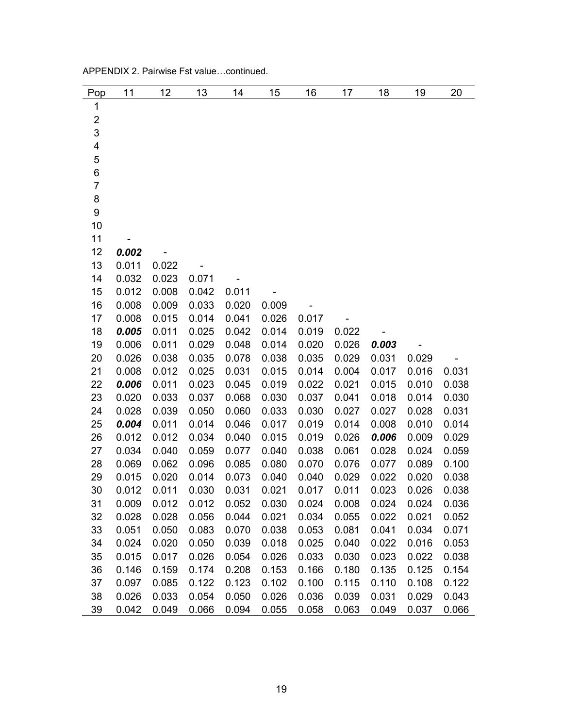| Pop              | 11    | 12    | 13    | 14    | 15    | 16    | 17    | 18    | 19    | 20    |
|------------------|-------|-------|-------|-------|-------|-------|-------|-------|-------|-------|
| $\mathbf 1$      |       |       |       |       |       |       |       |       |       |       |
| $\overline{c}$   |       |       |       |       |       |       |       |       |       |       |
| 3                |       |       |       |       |       |       |       |       |       |       |
| 4                |       |       |       |       |       |       |       |       |       |       |
| 5                |       |       |       |       |       |       |       |       |       |       |
| 6                |       |       |       |       |       |       |       |       |       |       |
| $\overline{7}$   |       |       |       |       |       |       |       |       |       |       |
| 8                |       |       |       |       |       |       |       |       |       |       |
| $\boldsymbol{9}$ |       |       |       |       |       |       |       |       |       |       |
| 10               |       |       |       |       |       |       |       |       |       |       |
| 11               |       |       |       |       |       |       |       |       |       |       |
| 12               | 0.002 |       |       |       |       |       |       |       |       |       |
| 13               | 0.011 | 0.022 |       |       |       |       |       |       |       |       |
| 14               | 0.032 | 0.023 | 0.071 |       |       |       |       |       |       |       |
| 15               | 0.012 | 0.008 | 0.042 | 0.011 |       |       |       |       |       |       |
| 16               | 0.008 | 0.009 | 0.033 | 0.020 | 0.009 |       |       |       |       |       |
| 17               | 0.008 | 0.015 | 0.014 | 0.041 | 0.026 | 0.017 |       |       |       |       |
| 18               | 0.005 | 0.011 | 0.025 | 0.042 | 0.014 | 0.019 | 0.022 |       |       |       |
| 19               | 0.006 | 0.011 | 0.029 | 0.048 | 0.014 | 0.020 | 0.026 | 0.003 |       |       |
| 20               | 0.026 | 0.038 | 0.035 | 0.078 | 0.038 | 0.035 | 0.029 | 0.031 | 0.029 |       |
| 21               | 0.008 | 0.012 | 0.025 | 0.031 | 0.015 | 0.014 | 0.004 | 0.017 | 0.016 | 0.031 |
| 22               | 0.006 | 0.011 | 0.023 | 0.045 | 0.019 | 0.022 | 0.021 | 0.015 | 0.010 | 0.038 |
| 23               | 0.020 | 0.033 | 0.037 | 0.068 | 0.030 | 0.037 | 0.041 | 0.018 | 0.014 | 0.030 |
| 24               | 0.028 | 0.039 | 0.050 | 0.060 | 0.033 | 0.030 | 0.027 | 0.027 | 0.028 | 0.031 |
| 25               | 0.004 | 0.011 | 0.014 | 0.046 | 0.017 | 0.019 | 0.014 | 0.008 | 0.010 | 0.014 |
| 26               | 0.012 | 0.012 | 0.034 | 0.040 | 0.015 | 0.019 | 0.026 | 0.006 | 0.009 | 0.029 |
| 27               | 0.034 | 0.040 | 0.059 | 0.077 | 0.040 | 0.038 | 0.061 | 0.028 | 0.024 | 0.059 |
| 28               | 0.069 | 0.062 | 0.096 | 0.085 | 0.080 | 0.070 | 0.076 | 0.077 | 0.089 | 0.100 |
| 29               | 0.015 | 0.020 | 0.014 | 0.073 | 0.040 | 0.040 | 0.029 | 0.022 | 0.020 | 0.038 |
| 30               | 0.012 | 0.011 | 0.030 | 0.031 | 0.021 | 0.017 | 0.011 | 0.023 | 0.026 | 0.038 |
| 31               | 0.009 | 0.012 | 0.012 | 0.052 | 0.030 | 0.024 | 0.008 | 0.024 | 0.024 | 0.036 |
| 32               | 0.028 | 0.028 | 0.056 | 0.044 | 0.021 | 0.034 | 0.055 | 0.022 | 0.021 | 0.052 |
| 33               | 0.051 | 0.050 | 0.083 | 0.070 | 0.038 | 0.053 | 0.081 | 0.041 | 0.034 | 0.071 |
| 34               | 0.024 | 0.020 | 0.050 | 0.039 | 0.018 | 0.025 | 0.040 | 0.022 | 0.016 | 0.053 |
| 35               | 0.015 | 0.017 | 0.026 | 0.054 | 0.026 | 0.033 | 0.030 | 0.023 | 0.022 | 0.038 |
| 36               | 0.146 | 0.159 | 0.174 | 0.208 | 0.153 | 0.166 | 0.180 | 0.135 | 0.125 | 0.154 |
| 37               | 0.097 | 0.085 | 0.122 | 0.123 | 0.102 | 0.100 | 0.115 | 0.110 | 0.108 | 0.122 |
| 38               | 0.026 | 0.033 | 0.054 | 0.050 | 0.026 | 0.036 | 0.039 | 0.031 | 0.029 | 0.043 |
| 39               | 0.042 | 0.049 | 0.066 | 0.094 | 0.055 | 0.058 | 0.063 | 0.049 | 0.037 | 0.066 |

APPENDIX 2. Pairwise Fst value…continued.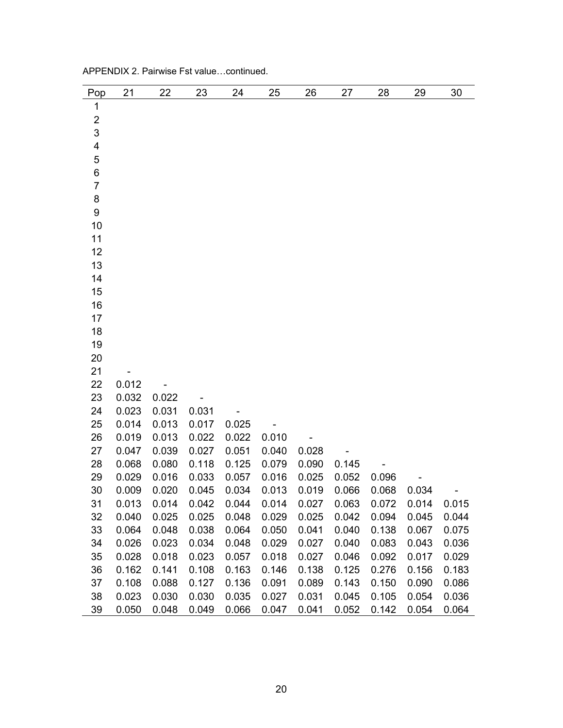| Pop                     | 21    | 22    | 23    | 24    | 25    | 26    | 27    | 28    | 29    | 30    |
|-------------------------|-------|-------|-------|-------|-------|-------|-------|-------|-------|-------|
| $\mathbf 1$             |       |       |       |       |       |       |       |       |       |       |
| $\overline{2}$          |       |       |       |       |       |       |       |       |       |       |
| 3                       |       |       |       |       |       |       |       |       |       |       |
| $\overline{\mathbf{4}}$ |       |       |       |       |       |       |       |       |       |       |
| 5                       |       |       |       |       |       |       |       |       |       |       |
| 6                       |       |       |       |       |       |       |       |       |       |       |
| $\overline{7}$          |       |       |       |       |       |       |       |       |       |       |
| 8                       |       |       |       |       |       |       |       |       |       |       |
| 9                       |       |       |       |       |       |       |       |       |       |       |
| 10                      |       |       |       |       |       |       |       |       |       |       |
| 11                      |       |       |       |       |       |       |       |       |       |       |
| 12                      |       |       |       |       |       |       |       |       |       |       |
| 13                      |       |       |       |       |       |       |       |       |       |       |
| 14                      |       |       |       |       |       |       |       |       |       |       |
| 15                      |       |       |       |       |       |       |       |       |       |       |
| 16<br>17                |       |       |       |       |       |       |       |       |       |       |
| 18                      |       |       |       |       |       |       |       |       |       |       |
| 19                      |       |       |       |       |       |       |       |       |       |       |
| 20                      |       |       |       |       |       |       |       |       |       |       |
| 21                      |       |       |       |       |       |       |       |       |       |       |
| 22                      | 0.012 |       |       |       |       |       |       |       |       |       |
| 23                      | 0.032 | 0.022 |       |       |       |       |       |       |       |       |
| 24                      | 0.023 | 0.031 | 0.031 |       |       |       |       |       |       |       |
| 25                      | 0.014 | 0.013 | 0.017 | 0.025 |       |       |       |       |       |       |
| 26                      | 0.019 | 0.013 | 0.022 | 0.022 | 0.010 |       |       |       |       |       |
| 27                      | 0.047 | 0.039 | 0.027 | 0.051 | 0.040 | 0.028 |       |       |       |       |
| 28                      | 0.068 | 0.080 | 0.118 | 0.125 | 0.079 | 0.090 | 0.145 |       |       |       |
| 29                      | 0.029 | 0.016 | 0.033 | 0.057 | 0.016 | 0.025 | 0.052 | 0.096 |       |       |
| 30                      | 0.009 | 0.020 | 0.045 | 0.034 | 0.013 | 0.019 | 0.066 | 0.068 | 0.034 |       |
| 31                      | 0.013 | 0.014 | 0.042 | 0.044 | 0.014 | 0.027 | 0.063 | 0.072 | 0.014 | 0.015 |
| 32                      | 0.040 | 0.025 | 0.025 | 0.048 | 0.029 | 0.025 | 0.042 | 0.094 | 0.045 | 0.044 |
| 33                      | 0.064 | 0.048 | 0.038 | 0.064 | 0.050 | 0.041 | 0.040 | 0.138 | 0.067 | 0.075 |
| 34                      | 0.026 | 0.023 | 0.034 | 0.048 | 0.029 | 0.027 | 0.040 | 0.083 | 0.043 | 0.036 |
| 35                      | 0.028 | 0.018 | 0.023 | 0.057 | 0.018 | 0.027 | 0.046 | 0.092 | 0.017 | 0.029 |
| 36                      | 0.162 | 0.141 | 0.108 | 0.163 | 0.146 | 0.138 | 0.125 | 0.276 | 0.156 | 0.183 |
| 37                      | 0.108 | 0.088 | 0.127 | 0.136 | 0.091 | 0.089 | 0.143 | 0.150 | 0.090 | 0.086 |
| 38                      | 0.023 | 0.030 | 0.030 | 0.035 | 0.027 | 0.031 | 0.045 | 0.105 | 0.054 | 0.036 |
| 39                      | 0.050 | 0.048 | 0.049 | 0.066 | 0.047 | 0.041 | 0.052 | 0.142 | 0.054 | 0.064 |

APPENDIX 2. Pairwise Fst value…continued.